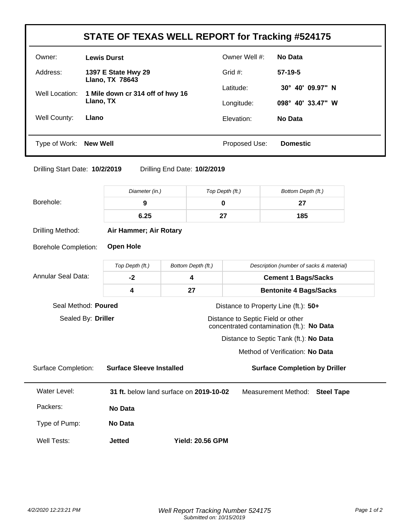| STATE OF TEXAS WELL REPORT for Tracking #524175 |                                               |               |                            |  |
|-------------------------------------------------|-----------------------------------------------|---------------|----------------------------|--|
| Owner:                                          | <b>Lewis Durst</b>                            | Owner Well #: | No Data                    |  |
| Address:                                        | 1397 E State Hwy 29<br><b>Llano, TX 78643</b> | Grid $#$ :    | $57-19-5$                  |  |
| Well Location:<br>Llano, TX                     | 1 Mile down cr 314 off of hwy 16              | Latitude:     | 40' 09.97" N<br>$30^\circ$ |  |
|                                                 |                                               | Longitude:    | 098° 40' 33.47" W          |  |
| Well County:                                    | Llano                                         | Elevation:    | No Data                    |  |
|                                                 |                                               |               |                            |  |
| Type of Work: <b>New Well</b>                   |                                               | Proposed Use: | <b>Domestic</b>            |  |

Drilling Start Date: **10/2/2019** Drilling End Date: **10/2/2019**

|                             | Diameter (in.)                  | Top Depth (ft.)                         |                                          | Bottom Depth (ft.)                                                             |  |  |
|-----------------------------|---------------------------------|-----------------------------------------|------------------------------------------|--------------------------------------------------------------------------------|--|--|
| Borehole:                   | $\mathbf 0$<br>9                |                                         |                                          | 27                                                                             |  |  |
|                             | 6.25                            |                                         |                                          | 185                                                                            |  |  |
| Drilling Method:            | Air Hammer; Air Rotary          |                                         |                                          |                                                                                |  |  |
| <b>Borehole Completion:</b> | <b>Open Hole</b>                |                                         |                                          |                                                                                |  |  |
|                             | Top Depth (ft.)                 | Bottom Depth (ft.)                      | Description (number of sacks & material) |                                                                                |  |  |
| <b>Annular Seal Data:</b>   | $-2$                            | 4                                       | <b>Cement 1 Bags/Sacks</b>               |                                                                                |  |  |
|                             | 4                               | 27                                      |                                          | <b>Bentonite 4 Bags/Sacks</b>                                                  |  |  |
| Seal Method: Poured         |                                 |                                         |                                          | Distance to Property Line (ft.): 50+                                           |  |  |
| Sealed By: Driller          |                                 |                                         |                                          | Distance to Septic Field or other<br>concentrated contamination (ft.): No Data |  |  |
|                             |                                 |                                         |                                          | Distance to Septic Tank (ft.): No Data                                         |  |  |
|                             |                                 |                                         |                                          | Method of Verification: No Data                                                |  |  |
| <b>Surface Completion:</b>  | <b>Surface Sleeve Installed</b> |                                         |                                          | <b>Surface Completion by Driller</b>                                           |  |  |
| Water Level:                |                                 | 31 ft. below land surface on 2019-10-02 |                                          | <b>Measurement Method:</b><br><b>Steel Tape</b>                                |  |  |
| Packers:                    | No Data                         |                                         |                                          |                                                                                |  |  |
| Type of Pump:               | <b>No Data</b>                  |                                         |                                          |                                                                                |  |  |
| Well Tests:                 | <b>Jetted</b>                   | <b>Yield: 20.56 GPM</b>                 |                                          |                                                                                |  |  |